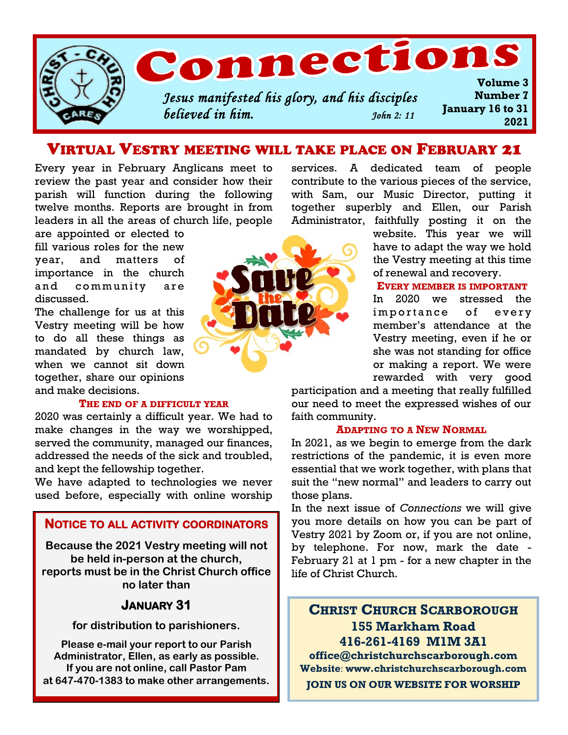

## VIRTUAL VESTRY MEETING WILL TAKE PLACE ON FEBRUARY 21

Every year in February Anglicans meet to review the past year and consider how their parish will function during the following twelve months. Reports are brought in from leaders in all the areas of church life, people

are appointed or elected to fill various roles for the new year, and matters of importance in the church and community are discussed.

The challenge for us at this Vestry meeting will be how to do all these things as mandated by church law, when we cannot sit down together, share our opinions and make decisions.

#### **THE END OF A DIFFICULT YEAR**

2020 was certainly a difficult year. We had to make changes in the way we worshipped, served the community, managed our finances, addressed the needs of the sick and troubled, and kept the fellowship together.

We have adapted to technologies we never used before, especially with online worship

#### **NOTICE TO ALL ACTIVITY COORDINATORS**

**Because the 2021 Vestry meeting will not be held in-person at the church, reports must be in the Christ Church office no later than**

#### **JANUARY 31**

**for distribution to parishioners.**

**Please e-mail your report to our Parish Administrator, Ellen, as early as possible. If you are not online, call Pastor Pam at 647-470-1383 to make other arrangements.**



services. A dedicated team of people contribute to the various pieces of the service, with Sam, our Music Director, putting it together superbly and Ellen, our Parish Administrator, faithfully posting it on the

> website. This year we will have to adapt the way we hold the Vestry meeting at this time of renewal and recovery.

#### **EVERY MEMBER IS IMPORTANT**

In 2020 we stressed the importance of every member's attendance at the Vestry meeting, even if he or she was not standing for office or making a report. We were rewarded with very good

participation and a meeting that really fulfilled our need to meet the expressed wishes of our faith community.

#### **ADAPTING TO A NEW NORMAL**

In 2021, as we begin to emerge from the dark restrictions of the pandemic, it is even more essential that we work together, with plans that suit the "new normal" and leaders to carry out those plans.

In the next issue of *Connections* we will give you more details on how you can be part of Vestry 2021 by Zoom or, if you are not online, by telephone. For now, mark the date - February 21 at 1 pm - for a new chapter in the life of Christ Church.

### **CHRIST CHURCH SCARBOROUGH 155 Markham Road 416-261-4169 M1M 3A1**

**office@christchurchscarborough.com Website**: **www.christchurchscarborough.com JOIN US ON OUR WEBSITE FOR WORSHIP**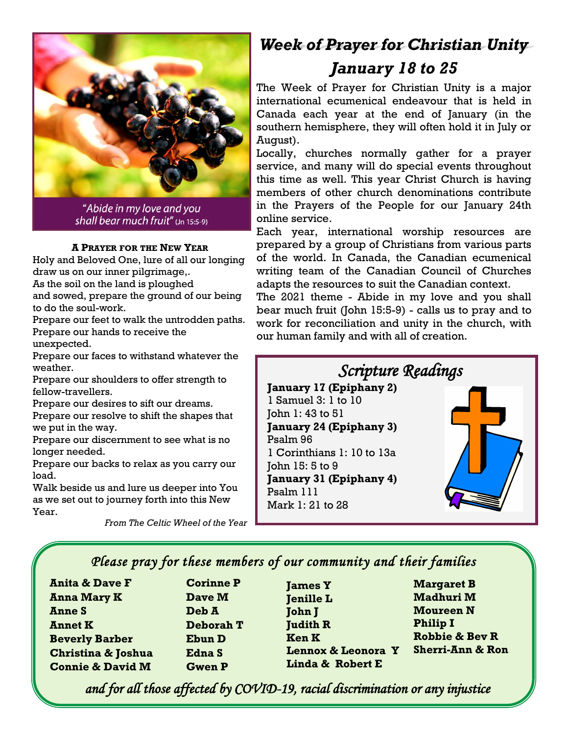

"Abide in my love and you shall bear much fruit" (Jn 15:5-9)

#### **A PRAYER FOR THE NEW YEAR**

Holy and Beloved One, lure of all our longing draw us on our inner pilgrimage,. As the soil on the land is ploughed and sowed, prepare the ground of our being

to do the soul-work.

Prepare our feet to walk the untrodden paths. Prepare our hands to receive the unexpected.

Prepare our faces to withstand whatever the weather.

Prepare our shoulders to offer strength to fellow-travellers.

Prepare our desires to sift our dreams. Prepare our resolve to shift the shapes that we put in the way.

Prepare our discernment to see what is no longer needed.

Prepare our backs to relax as you carry our load.

Walk beside us and lure us deeper into You as we set out to journey forth into this New Year.

*From The Celtic Wheel of the Year*

# *Week of Prayer for Christian Unity January 18 to 25*

The Week of Prayer for Christian Unity is a major international ecumenical endeavour that is held in Canada each year at the end of January (in the southern hemisphere, they will often hold it in July or August).

Locally, churches normally gather for a prayer service, and many will do special events throughout this time as well. This year Christ Church is having members of other church denominations contribute in the Prayers of the People for our January 24th online service.

Each year, international worship resources are prepared by a group of Christians from various parts of the world. In Canada, the Canadian ecumenical writing team of the Canadian Council of Churches adapts the resources to suit the Canadian context.

The 2021 theme - Abide in my love and you shall bear much fruit (John 15:5-9) - calls us to pray and to work for reconciliation and unity in the church, with our human family and with all of creation.



## *Please pray for these members of our community and their families*

**Anita & Dave F Anna Mary K Anne S Annet K Beverly Barber Christina & Joshua Connie & David M**

**Corinne P Dave M Deb A Deborah T Ebun D Edna S Gwen P**

**James Y Jenille L** **John J Judith R Ken K Lennox & Leonora Y Linda & Robert E**

**Margaret B Madhuri M Moureen N Philip I Robbie & Bev R Sherri-Ann & Ron**

*and for all those affected by COVID-19, racial discrimination or any injustice*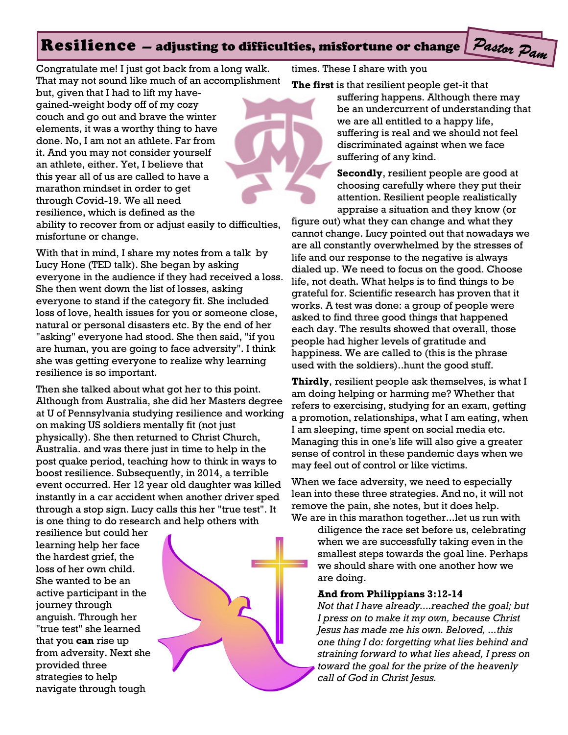#### Pastor Pam Resilience — adjusting to difficulties, misfortune or change

Congratulate me! I just got back from a long walk. That may not sound like much of an accomplishment

but, given that I had to lift my havegained-weight body off of my cozy couch and go out and brave the winter elements, it was a worthy thing to have done. No, I am not an athlete. Far from it. And you may not consider yourself an athlete, either. Yet, I believe that this year all of us are called to have a marathon mindset in order to get through Covid-19. We all need resilience, which is defined as the



ability to recover from or adjust easily to difficulties, misfortune or change.

With that in mind, I share my notes from a talk by Lucy Hone (TED talk). She began by asking everyone in the audience if they had received a loss. She then went down the list of losses, asking everyone to stand if the category fit. She included loss of love, health issues for you or someone close, natural or personal disasters etc. By the end of her "asking" everyone had stood. She then said, "if you are human, you are going to face adversity". I think she was getting everyone to realize why learning resilience is so important.

Then she talked about what got her to this point. Although from Australia, she did her Masters degree at U of Pennsylvania studying resilience and working on making US soldiers mentally fit (not just physically). She then returned to Christ Church, Australia. and was there just in time to help in the post quake period, teaching how to think in ways to boost resilience. Subsequently, in 2014, a terrible event occurred. Her 12 year old daughter was killed instantly in a car accident when another driver sped through a stop sign. Lucy calls this her "true test". It is one thing to do research and help others with

resilience but could her learning help her face the hardest grief, the loss of her own child. She wanted to be an active participant in the journey through anguish. Through her "true test" she learned that you **can** rise up from adversity. Next she provided three strategies to help navigate through tough



times. These I share with you

**The first** is that resilient people get-it that

suffering happens. Although there may be an undercurrent of understanding that we are all entitled to a happy life, suffering is real and we should not feel discriminated against when we face suffering of any kind.

**Secondly**, resilient people are good at choosing carefully where they put their attention. Resilient people realistically appraise a situation and they know (or

figure out) what they can change and what they cannot change. Lucy pointed out that nowadays we are all constantly overwhelmed by the stresses of life and our response to the negative is always dialed up. We need to focus on the good. Choose life, not death. What helps is to find things to be grateful for. Scientific research has proven that it works. A test was done: a group of people were asked to find three good things that happened each day. The results showed that overall, those people had higher levels of gratitude and happiness. We are called to (this is the phrase used with the soldiers)..hunt the good stuff.

**Thirdly**, resilient people ask themselves, is what I am doing helping or harming me? Whether that refers to exercising, studying for an exam, getting a promotion, relationships, what I am eating, when I am sleeping, time spent on social media etc. Managing this in one's life will also give a greater sense of control in these pandemic days when we may feel out of control or like victims.

When we face adversity, we need to especially lean into these three strategies. And no, it will not remove the pain, she notes, but it does help. We are in this marathon together...let us run with

diligence the race set before us, celebrating when we are successfully taking even in the smallest steps towards the goal line. Perhaps we should share with one another how we are doing.

#### **And from Philippians 3:12-14**

*Not that I have already....reached the goal; but I press on to make it my own, because Christ Jesus has made me his own. Beloved, ...this one thing I do: forgetting what lies behind and straining forward to what lies ahead, I press on toward the goal for the prize of the heavenly call of God in Christ Jesus.*